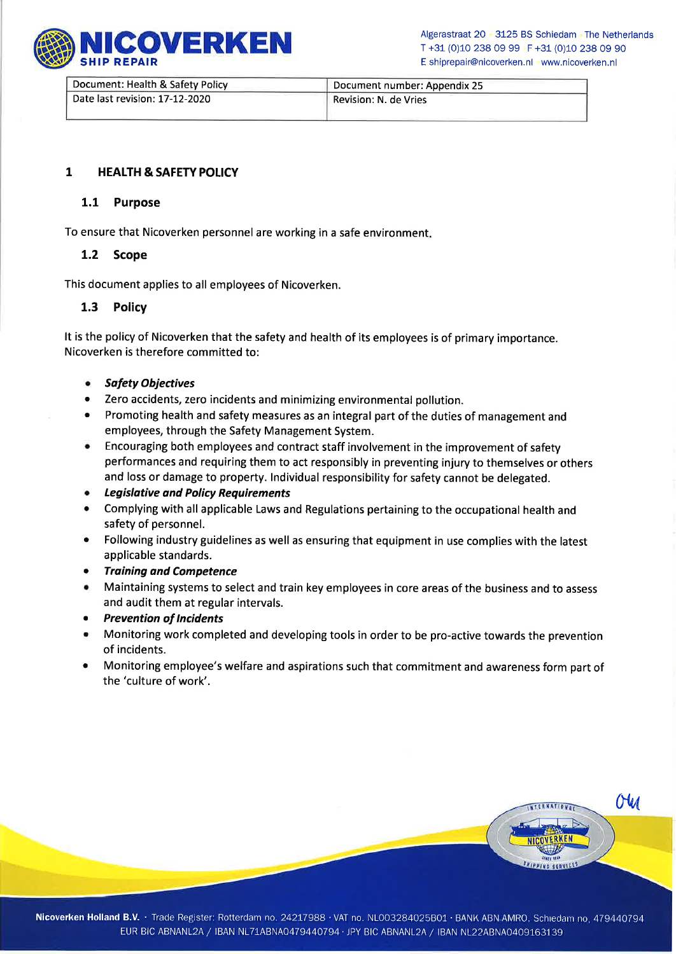

COVERKEN Algerastraat 20 3125 BS Schiedam The Netherlands<br>T +31 (0)10 238 09 99 F +31 (0)10 238 09 90 <sup>T</sup>+31 (0)10 238 09 99 F +31 (0)10 238 09 90 E shiprepair@nicoverken.nl www.nicoverken.nl

| Document: Health & Safety Policy | Document number: Appendix 25 |
|----------------------------------|------------------------------|
| Date last revision: 17-12-2020   | Revision: N. de Vries        |

## 1 HEALTH & SAFETY POLICY

## 1.1 Purpose

To ensure that Nicoverken personnel are working in a safe environment

## 1.2 Scope

This document applies to all employees of Nicoverken.

## 1.3 Policy

It is the policy of Nicoverken that the safety and health of its employees is of primary importance. Nicoverken is therefore committed to:

- **•** Safety Objectives
- o Zero accidents, zero incidents and minimizing environmental pollution.
- o Promoting health and safety measures as an integral part of the duties of management and employees, through the Safety Management System.
- **•** Encouraging both employees and contract staff involvement in the improvement of safety performances and requiring them to act responsibly in preventing injury to themselves or others and loss or damage to property. lndividual responsibility for safety cannot be delegated.
- o Legisldtive ond Policy Requirements
- r Complying with all applicable Laws and Regulations pertaining to the occupational health and safety of personnel.
- Following industry guidelines as well as ensuring that equipment in use complies with the latest applicable standards.
- **•** Training and Competence
- **All** Maintaining systems to select and train key employees in core areas of the business and to assess and audit them at regular intervals.
- Prevention of Incidents
- Monitoring work completed and developing tools in order to be pro-active towards the prevention of incidents.
- Monitoring employee's welfare and aspirations such that commitment and awareness form part of the 'culture of work'.